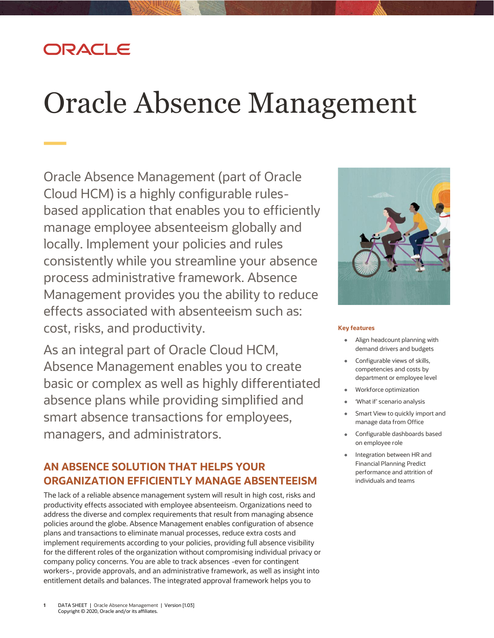## DRACLE

# Oracle Absence Management

Oracle Absence Management (part of Oracle Cloud HCM) is a highly configurable rulesbased application that enables you to efficiently manage employee absenteeism globally and locally. Implement your policies and rules consistently while you streamline your absence process administrative framework. Absence Management provides you the ability to reduce effects associated with absenteeism such as: cost, risks, and productivity.

As an integral part of Oracle Cloud HCM, Absence Management enables you to create basic or complex as well as highly differentiated absence plans while providing simplified and smart absence transactions for employees, managers, and administrators.

## **AN ABSENCE SOLUTION THAT HELPS YOUR ORGANIZATION EFFICIENTLY MANAGE ABSENTEEISM**

The lack of a reliable absence management system will result in high cost, risks and productivity effects associated with employee absenteeism. Organizations need to address the diverse and complex requirements that result from managing absence policies around the globe. Absence Management enables configuration of absence plans and transactions to eliminate manual processes, reduce extra costs and implement requirements according to your policies, providing full absence visibility for the different roles of the organization without compromising individual privacy or company policy concerns. You are able to track absences -even for contingent workers-, provide approvals, and an administrative framework, as well as insight into entitlement details and balances. The integrated approval framework helps you to



#### **Key features**

- Align headcount planning with demand drivers and budgets
- Configurable views of skills, competencies and costs by department or employee level
- Workforce optimization
- 'What if' scenario analysis
- Smart View to quickly import and  $\bullet$ manage data from Office
- Configurable dashboards based on employee role
- Integration between HR and Financial Planning Predict performance and attrition of individuals and teams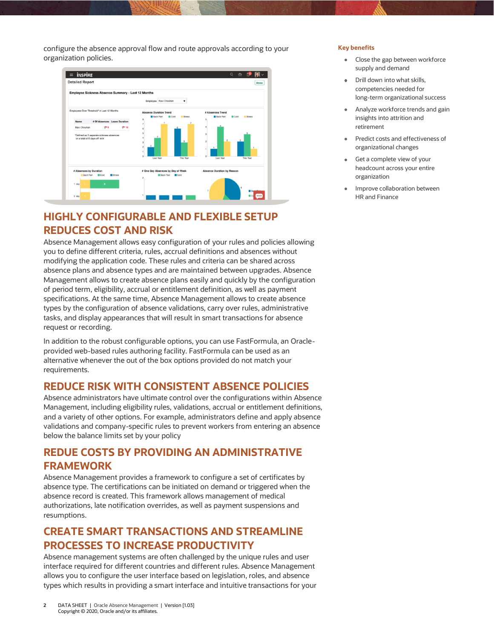configure the absence approval flow and route approvals according to your organization policies.



## **HIGHLY CONFIGURABLE AND FLEXIBLE SETUP REDUCES COST AND RISK**

Absence Management allows easy configuration of your rules and policies allowing you to define different criteria, rules, accrual definitions and absences without modifying the application code. These rules and criteria can be shared across absence plans and absence types and are maintained between upgrades. Absence Management allows to create absence plans easily and quickly by the configuration of period term, eligibility, accrual or entitlement definition, as well as payment specifications. At the same time, Absence Management allows to create absence types by the configuration of absence validations, carry over rules, administrative tasks, and display appearances that will result in smart transactions for absence request or recording.

In addition to the robust configurable options, you can use FastFormula, an Oracleprovided web-based rules authoring facility. FastFormula can be used as an alternative whenever the out of the box options provided do not match your requirements.

#### **REDUCE RISK WITH CONSISTENT ABSENCE POLICIES**

Absence administrators have ultimate control over the configurations within Absence Management, including eligibility rules, validations, accrual or entitlement definitions, and a variety of other options. For example, administrators define and apply absence validations and company-specific rules to prevent workers from entering an absence below the balance limits set by your policy

#### **REDUE COSTS BY PROVIDING AN ADMINISTRATIVE FRAMEWORK**

Absence Management provides a framework to configure a set of certificates by absence type. The certifications can be initiated on demand or triggered when the absence record is created. This framework allows management of medical authorizations, late notification overrides, as well as payment suspensions and resumptions.

#### **CREATE SMART TRANSACTIONS AND STREAMLINE PROCESSES TO INCREASE PRODUCTIVITY**

Absence management systems are often challenged by the unique rules and user interface required for different countries and different rules. Absence Management allows you to configure the user interface based on legislation, roles, and absence types which results in providing a smart interface and intuitive transactions for your

- Close the gap between workforce supply and demand
- Drill down into what skills, competencies needed for long-term organizational success
- Analyze workforce trends and gain ٠ insights into attrition and retirement
- Predict costs and effectiveness of organizational changes
- Get a complete view of your headcount across your entire organization
- Improve collaboration between HR and Finance